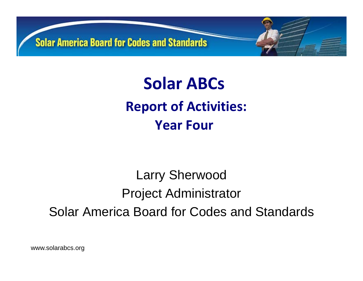

**Solar ABCs Report of Activities: Year Four**

### Larry Sherwood Project Administrator Solar America Board for Codes and Standards

www.solarabcs.org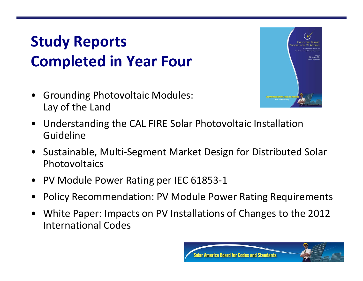## **Study Reports Completed in Year Four**

• Grounding Photovoltaic Modules: Lay of the Land



- $\bullet$  Understanding the CAL FIRE Solar Photovoltaic Installation Guideline
- $\bullet$  Sustainable, Multi‐Segment Market Design for Distributed Solar **Photovoltaics**
- PV Module Power Rating per IEC 61853‐1
- •• Policy Recommendation: PV Module Power Rating Requirements
- • White Paper: Impacts on PV Installations of Changes to the 2012 International Codes

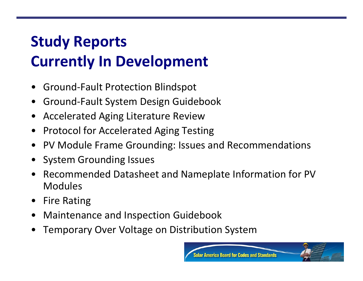# **Study Reports Currently In Development**

- •● Ground-Fault Protection Blindspot
- $\bullet$ Ground‐Fault System Design Guidebook
- •Accelerated Aging Literature Review
- $\bullet$ Protocol for Accelerated Aging Testing
- $\bullet$ PV Module Frame Grounding: Issues and Recommendations
- System Grounding Issues
- • Recommended Datasheet and Nameplate Information for PV Modules
- $\bullet$ Fire Rating
- •Maintenance and Inspection Guidebook
- •Temporary Over Voltage on Distribution System

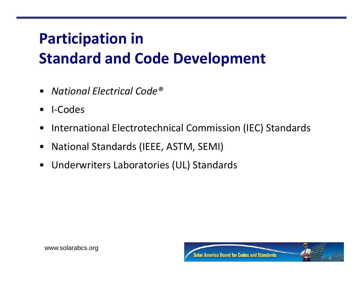# **Participation in Standard and Code Development**

- **National Electrical Code<sup>®</sup>**
- I-Codes  $\bullet$
- International Electrotechnical Commission (IEC) Standards  $\bullet$
- **National Standards (IEEE, ASTM, SEMI)**  $\bullet$
- Underwriters Laboratories (UL) Standards  $\bullet$

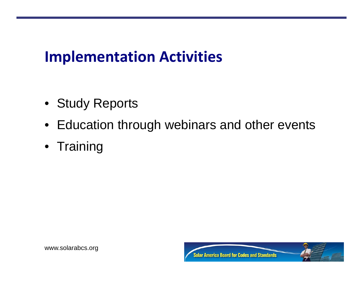#### **Implementation Activities**

- Study Reports
- Education through webinars and other events
- Training

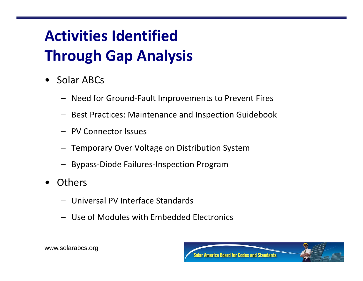# **Activities Identified Through Gap Analysis**

- $\bullet$  Solar ABCs
	- Need for Ground‐Fault Improvements to Prevent Fires
	- Best Practices: Maintenance and Inspection Guidebook
	- PV Connector Issues
	- Temporary Over Voltage on Distribution System
	- Bypass‐Diode Failures‐Inspection Program
- $\bullet$ **Others** 
	- Universal PV Interface Standards
	- Use of Modules with Embedded Electronics



www.solarabcs.org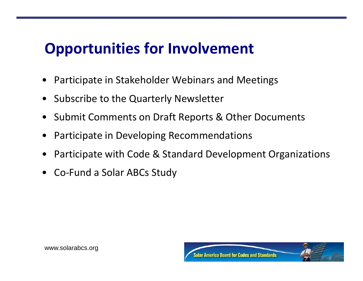#### **Opportunities for Involvement**

- Participate in Stakeholder Webinars and Meetings
- Subscribe to the Quarterly Newsletter
- Submit Comments on Draft Reports & Other Documents
- Participate in Developing Recommendations
- Participate with Code & Standard Development Organizations
- Co‐Fund <sup>a</sup> Solar ABCs Study